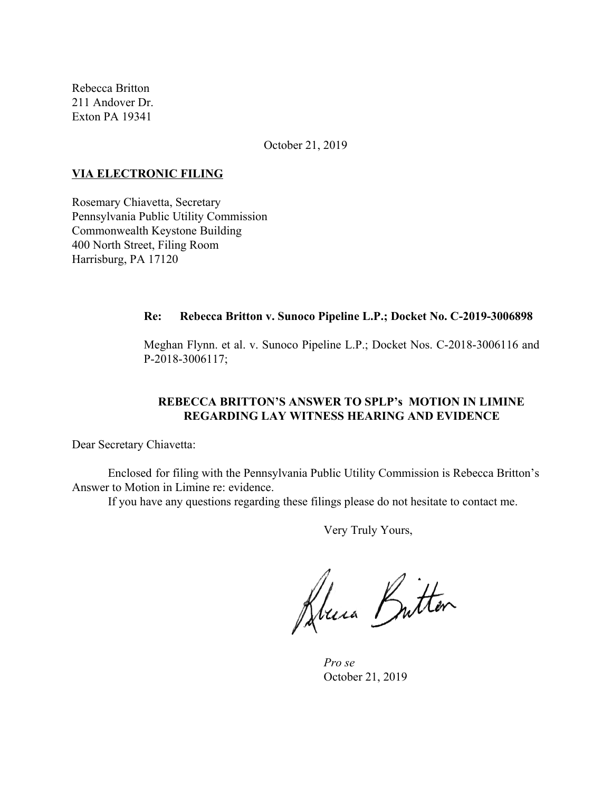Rebecca Britton 211 Andover Dr. Exton PA 19341

October 21, 2019

#### **VIA ELECTRONIC FILING**

Rosemary Chiavetta, Secretary Pennsylvania Public Utility Commission Commonwealth Keystone Building 400 North Street, Filing Room Harrisburg, PA 17120

#### **Re: Rebecca Britton v. Sunoco Pipeline L.P.; Docket No. C-2019-3006898**

Meghan Flynn. et al. v. Sunoco Pipeline L.P.; Docket Nos. C-2018-3006116 and P-2018-3006117;

### **REBECCA BRITTON'S ANSWER TO SPLP's MOTION IN LIMINE REGARDING LAY WITNESS HEARING AND EVIDENCE**

Dear Secretary Chiavetta:

Enclosed for filing with the Pennsylvania Public Utility Commission is Rebecca Britton's Answer to Motion in Limine re: evidence.

If you have any questions regarding these filings please do not hesitate to contact me.

Very Truly Yours,

Deux Britten

*Pro se* October 21, 2019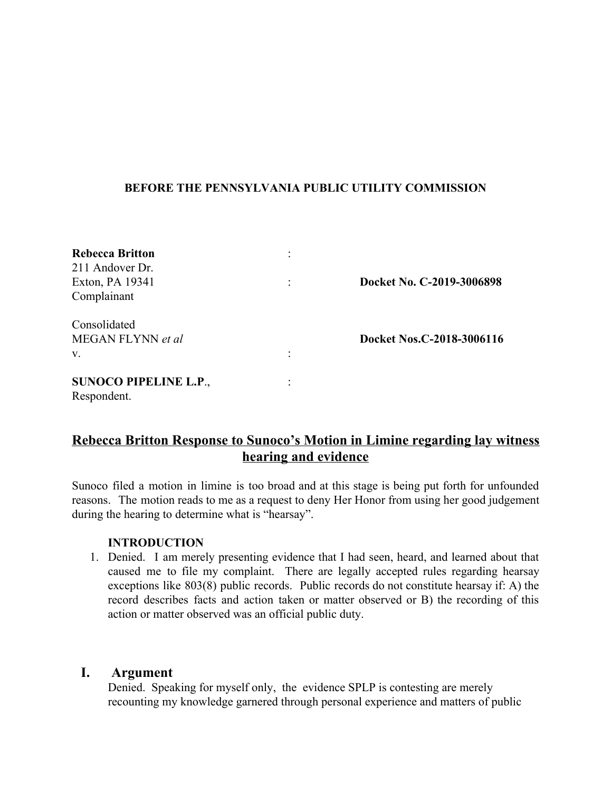## **BEFORE THE PENNSYLVANIA PUBLIC UTILITY COMMISSION**

| <b>Rebecca Britton</b><br>211 Andover Dr.<br>Exton, PA 19341 |   | Docket No. C-2019-3006898 |
|--------------------------------------------------------------|---|---------------------------|
| Complainant                                                  |   |                           |
| Consolidated<br>MEGAN FLYNN et al<br>V.                      |   | Docket Nos.C-2018-3006116 |
| <b>SUNOCO PIPELINE L.P.,</b><br>Respondent.                  | ٠ |                           |

# **Rebecca Britton Response to Sunoco's Motion in Limine regarding lay witness hearing and evidence**

Sunoco filed a motion in limine is too broad and at this stage is being put forth for unfounded reasons. The motion reads to me as a request to deny Her Honor from using her good judgement during the hearing to determine what is "hearsay".

## **INTRODUCTION**

1. Denied. I am merely presenting evidence that I had seen, heard, and learned about that caused me to file my complaint. There are legally accepted rules regarding hearsay exceptions like 803(8) public records. Public records do not constitute hearsay if: A) the record describes facts and action taken or matter observed or B) the recording of this action or matter observed was an official public duty.

# **I. Argument**

Denied. Speaking for myself only, the evidence SPLP is contesting are merely recounting my knowledge garnered through personal experience and matters of public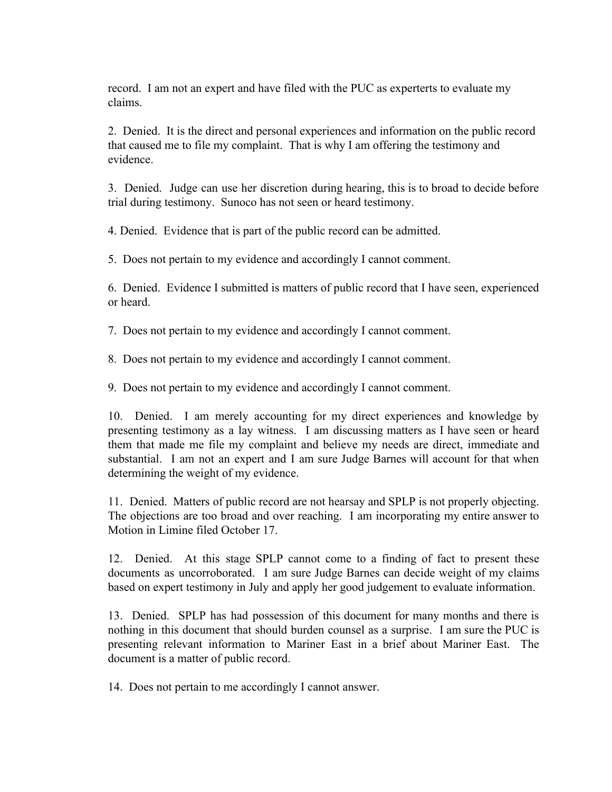record. I am not an expert and have filed with the PUC as experterts to evaluate my claims.

2. Denied. It is the direct and personal experiences and information on the public record that caused me to file my complaint. That is why I am offering the testimony and evidence.

3. Denied. Judge can use her discretion during hearing, this is to broad to decide before trial during testimony. Sunoco has not seen or heard testimony.

4. Denied. Evidence that is part of the public record can be admitted.

5. Does not pertain to my evidence and accordingly I cannot comment.

6. Denied. Evidence I submitted is matters of public record that I have seen, experienced or heard.

7. Does not pertain to my evidence and accordingly I cannot comment.

8. Does not pertain to my evidence and accordingly I cannot comment.

9. Does not pertain to my evidence and accordingly I cannot comment.

10. Denied. I am merely accounting for my direct experiences and knowledge by presenting testimony as a lay witness. I am discussing matters as I have seen or heard them that made me file my complaint and believe my needs are direct, immediate and substantial. I am not an expert and I am sure Judge Barnes will account for that when determining the weight of my evidence.

11. Denied. Matters of public record are not hearsay and SPLP is not properly objecting. The objections are too broad and over reaching. I am incorporating my entire answer to Motion in Limine filed October 17.

12. Denied. At this stage SPLP cannot come to a finding of fact to present these documents as uncorroborated. I am sure Judge Barnes can decide weight of my claims based on expert testimony in July and apply her good judgement to evaluate information.

13. Denied. SPLP has had possession of this document for many months and there is nothing in this document that should burden counsel as a surprise. I am sure the PUC is presenting relevant information to Mariner East in a brief about Mariner East. The document is a matter of public record.

14. Does not pertain to me accordingly I cannot answer.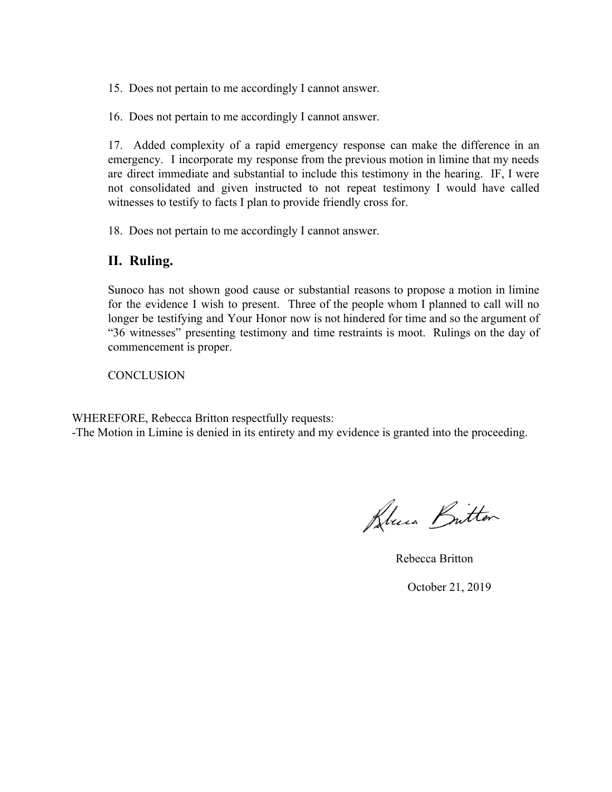15. Does not pertain to me accordingly I cannot answer.

16. Does not pertain to me accordingly I cannot answer.

17. Added complexity of a rapid emergency response can make the difference in an emergency. I incorporate my response from the previous motion in limine that my needs are direct immediate and substantial to include this testimony in the hearing. IF, I were not consolidated and given instructed to not repeat testimony I would have called witnesses to testify to facts I plan to provide friendly cross for.

18. Does not pertain to me accordingly I cannot answer.

## **II. Ruling.**

Sunoco has not shown good cause or substantial reasons to propose a motion in limine for the evidence I wish to present. Three of the people whom I planned to call will no longer be testifying and Your Honor now is not hindered for time and so the argument of "36 witnesses" presenting testimony and time restraints is moot. Rulings on the day of commencement is proper.

**CONCLUSION** 

WHEREFORE, Rebecca Britton respectfully requests:

-The Motion in Limine is denied in its entirety and my evidence is granted into the proceeding.

Bluna Britton

Rebecca Britton

October 21, 2019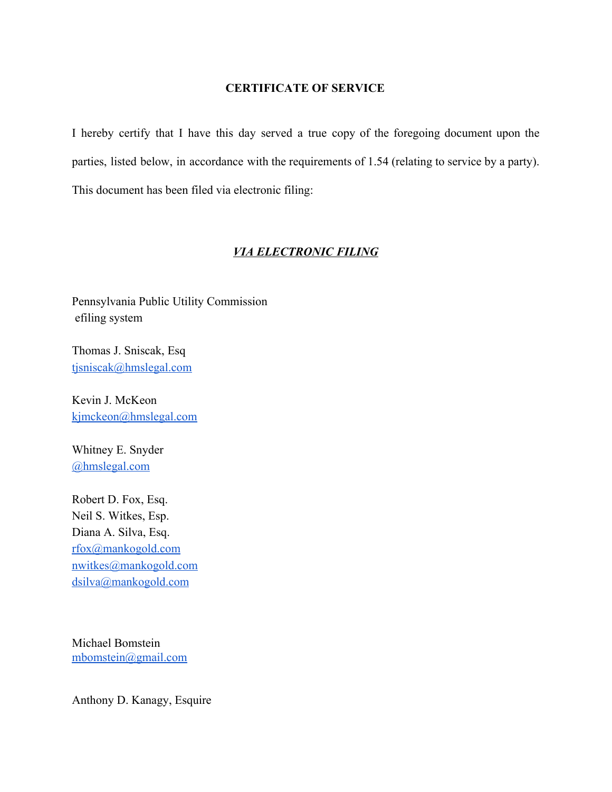### **CERTIFICATE OF SERVICE**

I hereby certify that I have this day served a true copy of the foregoing document upon the parties, listed below, in accordance with the requirements of 1.54 (relating to service by a party). This document has been filed via electronic filing:

### *VIA ELECTRONIC FILING*

Pennsylvania Public Utility Commission efiling system

Thomas J. Sniscak, Esq [tjsniscak@hmslegal.com](mailto:tjsniscak@hmslegal.com)

Kevin J. McKeon [kjmckeon@hmslegal.com](mailto:kjmckeon@hmslegal.com)

Whitney E. Snyder [@hmslegal.com](mailto:wesnyder@hmslegal.com)

Robert D. Fox, Esq. Neil S. Witkes, Esp. Diana A. Silva, Esq. [rfox@mankogold.com](mailto:rfox@mankogold.com) [nwitkes@mankogold.com](mailto:nwitkes@mankogold.com) [dsilva@mankogold.com](mailto:dsilva@mankogold.com)

Michael Bomstein [mbomstein@gmail.com](mailto:mbomstein@gmail.com)

Anthony D. Kanagy, Esquire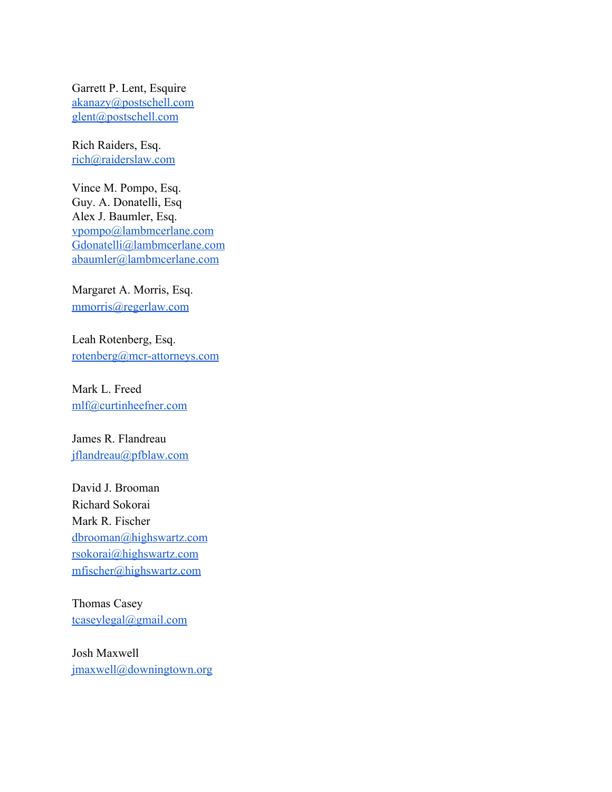Garrett P. Lent, Esquire [akanazy@postschell.com](mailto:akanazy@postschell.com) [glent@postschell.com](mailto:glent@postschell.com)

Rich Raiders, Esq. [rich@raiderslaw.com](mailto:rich@raiderslaw.com)

Vince M. Pompo, Esq. Guy. A. Donatelli, Esq Alex J. Baumler, Esq. [vpompo@lambmcerlane.com](mailto:vpompo@lambmcerlane.com) [Gdonatelli@lambmcerlane.com](mailto:Gdonatelli@lambmcerlane.com) [abaumler@lambmcerlane.com](mailto:abaumler@lambmcerlane.com)

Margaret A. Morris, Esq. [mmorris@regerlaw.com](mailto:mmorris@regerlaw.com)

Leah Rotenberg, Esq. [rotenberg@mcr-attorneys.com](mailto:rotenberg@mcr-attorneys.com)

Mark L. Freed [mlf@curtinheefner.com](mailto:mlf@curtinheefner.com)

James R. Flandreau [jflandreau@pfblaw.com](mailto:jflandreau@pfblaw.com)

David J. Brooman Richard Sokorai Mark R. Fischer [dbrooman@highswartz.com](mailto:dbrooman@highswartz.com) [rsokorai@highswartz.com](mailto:rsokorai@highswartz.com) [mfischer@highswartz.com](mailto:mfischer@highswartz.com)

Thomas Casey [tcaseylegal@gmail.com](mailto:tcaseylegal@gmail.com)

Josh Maxwell [jmaxwell@downingtown.org](mailto:jmaxwell@downingtown.org)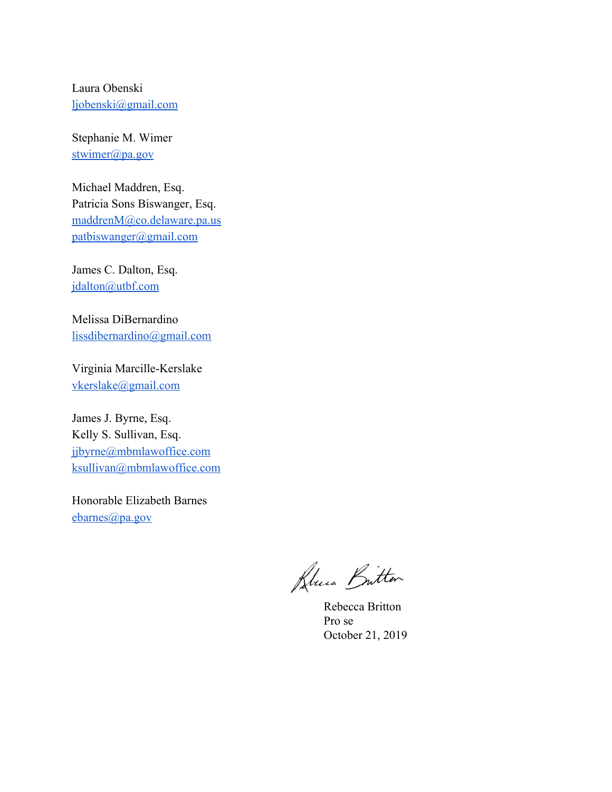Laura Obenski [ljobenski@gmail.com](mailto:ljobenski@gmail.com)

Stephanie M. Wimer [stwimer@pa.gov](mailto:stwimer@pa.gov)

Michael Maddren, Esq. Patricia Sons Biswanger, Esq. [maddrenM@co.delaware.pa.us](mailto:maddrenM@co.delaware.pa.us) [patbiswanger@gmail.com](mailto:patbiswanger@gmail.com)

James C. Dalton, Esq. [jdalton@utbf.com](mailto:jdalton@utbf.com)

Melissa DiBernardino [lissdibernardino@gmail.com](mailto:lissdibernardino@gmail.com)

Virginia Marcille-Kerslake [vkerslake@gmail.com](mailto:vkerslake@gmail.com)

James J. Byrne, Esq. Kelly S. Sullivan, Esq. [jjbyrne@mbmlawoffice.com](mailto:jjbyrne@mbmlawoffice.com) [ksullivan@mbmlawoffice.com](mailto:ksullivan@mbmlawoffice.com)

Honorable Elizabeth Barnes [ebarnes@pa.gov](mailto:ebarnes@pa.gov)

Kluia Britten

Rebecca Britton Pro se October 21, 2019